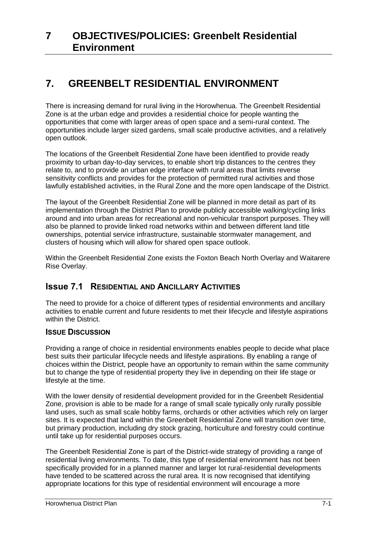# **7. GREENBELT RESIDENTIAL ENVIRONMENT**

There is increasing demand for rural living in the Horowhenua. The Greenbelt Residential Zone is at the urban edge and provides a residential choice for people wanting the opportunities that come with larger areas of open space and a semi-rural context. The opportunities include larger sized gardens, small scale productive activities, and a relatively open outlook.

The locations of the Greenbelt Residential Zone have been identified to provide ready proximity to urban day-to-day services, to enable short trip distances to the centres they relate to, and to provide an urban edge interface with rural areas that limits reverse sensitivity conflicts and provides for the protection of permitted rural activities and those lawfully established activities, in the Rural Zone and the more open landscape of the District.

The layout of the Greenbelt Residential Zone will be planned in more detail as part of its implementation through the District Plan to provide publicly accessible walking/cycling links around and into urban areas for recreational and non-vehicular transport purposes. They will also be planned to provide linked road networks within and between different land title ownerships, potential service infrastructure, sustainable stormwater management, and clusters of housing which will allow for shared open space outlook.

Within the Greenbelt Residential Zone exists the Foxton Beach North Overlay and Waitarere Rise Overlay.

## **Issue 7.1 RESIDENTIAL AND ANCILLARY ACTIVITIES**

The need to provide for a choice of different types of residential environments and ancillary activities to enable current and future residents to met their lifecycle and lifestyle aspirations within the District.

#### **ISSUE DISCUSSION**

Providing a range of choice in residential environments enables people to decide what place best suits their particular lifecycle needs and lifestyle aspirations. By enabling a range of choices within the District, people have an opportunity to remain within the same community but to change the type of residential property they live in depending on their life stage or lifestyle at the time.

With the lower density of residential development provided for in the Greenbelt Residential Zone, provision is able to be made for a range of small scale typically only rurally possible land uses, such as small scale hobby farms, orchards or other activities which rely on larger sites. It is expected that land within the Greenbelt Residential Zone will transition over time, but primary production, including dry stock grazing, horticulture and forestry could continue until take up for residential purposes occurs.

The Greenbelt Residential Zone is part of the District-wide strategy of providing a range of residential living environments. To date, this type of residential environment has not been specifically provided for in a planned manner and larger lot rural-residential developments have tended to be scattered across the rural area. It is now recognised that identifying appropriate locations for this type of residential environment will encourage a more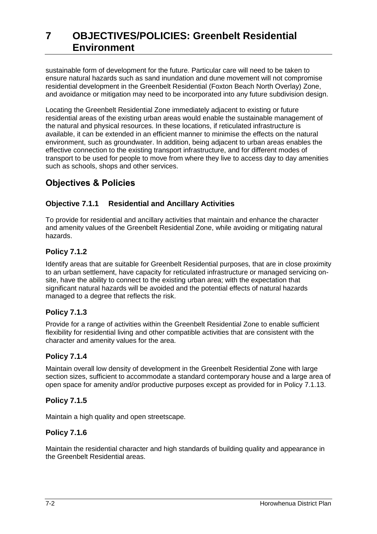sustainable form of development for the future. Particular care will need to be taken to ensure natural hazards such as sand inundation and dune movement will not compromise residential development in the Greenbelt Residential (Foxton Beach North Overlay) Zone, and avoidance or mitigation may need to be incorporated into any future subdivision design.

Locating the Greenbelt Residential Zone immediately adjacent to existing or future residential areas of the existing urban areas would enable the sustainable management of the natural and physical resources. In these locations, if reticulated infrastructure is available, it can be extended in an efficient manner to minimise the effects on the natural environment, such as groundwater. In addition, being adjacent to urban areas enables the effective connection to the existing transport infrastructure, and for different modes of transport to be used for people to move from where they live to access day to day amenities such as schools, shops and other services.

# **Objectives & Policies**

## **Objective 7.1.1 Residential and Ancillary Activities**

To provide for residential and ancillary activities that maintain and enhance the character and amenity values of the Greenbelt Residential Zone, while avoiding or mitigating natural hazards.

## **Policy 7.1.2**

Identify areas that are suitable for Greenbelt Residential purposes, that are in close proximity to an urban settlement, have capacity for reticulated infrastructure or managed servicing onsite, have the ability to connect to the existing urban area; with the expectation that significant natural hazards will be avoided and the potential effects of natural hazards managed to a degree that reflects the risk.

### **Policy 7.1.3**

Provide for a range of activities within the Greenbelt Residential Zone to enable sufficient flexibility for residential living and other compatible activities that are consistent with the character and amenity values for the area.

#### **Policy 7.1.4**

Maintain overall low density of development in the Greenbelt Residential Zone with large section sizes, sufficient to accommodate a standard contemporary house and a large area of open space for amenity and/or productive purposes except as provided for in Policy 7.1.13.

### **Policy 7.1.5**

Maintain a high quality and open streetscape.

### **Policy 7.1.6**

Maintain the residential character and high standards of building quality and appearance in the Greenbelt Residential areas.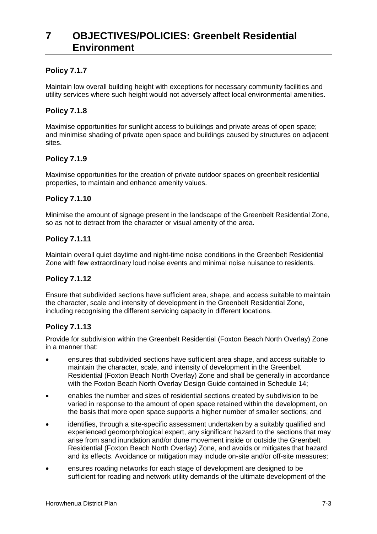### **Policy 7.1.7**

Maintain low overall building height with exceptions for necessary community facilities and utility services where such height would not adversely affect local environmental amenities.

#### **Policy 7.1.8**

Maximise opportunities for sunlight access to buildings and private areas of open space; and minimise shading of private open space and buildings caused by structures on adjacent sites.

#### **Policy 7.1.9**

Maximise opportunities for the creation of private outdoor spaces on greenbelt residential properties, to maintain and enhance amenity values.

#### **Policy 7.1.10**

Minimise the amount of signage present in the landscape of the Greenbelt Residential Zone, so as not to detract from the character or visual amenity of the area.

#### **Policy 7.1.11**

Maintain overall quiet daytime and night-time noise conditions in the Greenbelt Residential Zone with few extraordinary loud noise events and minimal noise nuisance to residents.

#### **Policy 7.1.12**

Ensure that subdivided sections have sufficient area, shape, and access suitable to maintain the character, scale and intensity of development in the Greenbelt Residential Zone, including recognising the different servicing capacity in different locations.

#### **Policy 7.1.13**

Provide for subdivision within the Greenbelt Residential (Foxton Beach North Overlay) Zone in a manner that:

- ensures that subdivided sections have sufficient area shape, and access suitable to maintain the character, scale, and intensity of development in the Greenbelt Residential (Foxton Beach North Overlay) Zone and shall be generally in accordance with the Foxton Beach North Overlay Design Guide contained in Schedule 14;
- enables the number and sizes of residential sections created by subdivision to be varied in response to the amount of open space retained within the development, on the basis that more open space supports a higher number of smaller sections; and
- identifies, through a site-specific assessment undertaken by a suitably qualified and experienced geomorphological expert, any significant hazard to the sections that may arise from sand inundation and/or dune movement inside or outside the Greenbelt Residential (Foxton Beach North Overlay) Zone, and avoids or mitigates that hazard and its effects. Avoidance or mitigation may include on-site and/or off-site measures;
- ensures roading networks for each stage of development are designed to be sufficient for roading and network utility demands of the ultimate development of the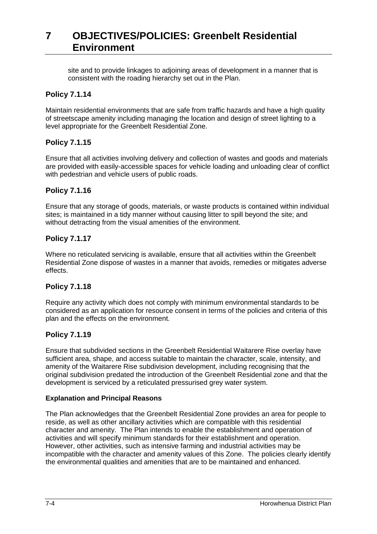site and to provide linkages to adjoining areas of development in a manner that is consistent with the roading hierarchy set out in the Plan.

#### **Policy 7.1.14**

Maintain residential environments that are safe from traffic hazards and have a high quality of streetscape amenity including managing the location and design of street lighting to a level appropriate for the Greenbelt Residential Zone.

#### **Policy 7.1.15**

Ensure that all activities involving delivery and collection of wastes and goods and materials are provided with easily-accessible spaces for vehicle loading and unloading clear of conflict with pedestrian and vehicle users of public roads.

#### **Policy 7.1.16**

Ensure that any storage of goods, materials, or waste products is contained within individual sites; is maintained in a tidy manner without causing litter to spill beyond the site; and without detracting from the visual amenities of the environment.

#### **Policy 7.1.17**

Where no reticulated servicing is available, ensure that all activities within the Greenbelt Residential Zone dispose of wastes in a manner that avoids, remedies or mitigates adverse effects.

#### **Policy 7.1.18**

Require any activity which does not comply with minimum environmental standards to be considered as an application for resource consent in terms of the policies and criteria of this plan and the effects on the environment.

#### **Policy 7.1.19**

Ensure that subdivided sections in the Greenbelt Residential Waitarere Rise overlay have sufficient area, shape, and access suitable to maintain the character, scale, intensity, and amenity of the Waitarere Rise subdivision development, including recognising that the original subdivision predated the introduction of the Greenbelt Residential zone and that the development is serviced by a reticulated pressurised grey water system.

#### **Explanation and Principal Reasons**

The Plan acknowledges that the Greenbelt Residential Zone provides an area for people to reside, as well as other ancillary activities which are compatible with this residential character and amenity. The Plan intends to enable the establishment and operation of activities and will specify minimum standards for their establishment and operation. However, other activities, such as intensive farming and industrial activities may be incompatible with the character and amenity values of this Zone. The policies clearly identify the environmental qualities and amenities that are to be maintained and enhanced.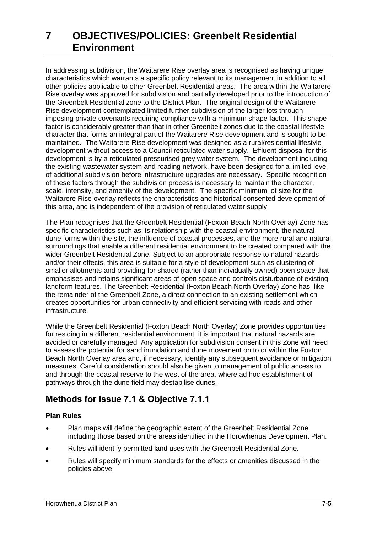In addressing subdivision, the Waitarere Rise overlay area is recognised as having unique characteristics which warrants a specific policy relevant to its management in addition to all other policies applicable to other Greenbelt Residential areas. The area within the Waitarere Rise overlay was approved for subdivision and partially developed prior to the introduction of the Greenbelt Residential zone to the District Plan. The original design of the Waitarere Rise development contemplated limited further subdivision of the larger lots through imposing private covenants requiring compliance with a minimum shape factor. This shape factor is considerably greater than that in other Greenbelt zones due to the coastal lifestyle character that forms an integral part of the Waitarere Rise development and is sought to be maintained. The Waitarere Rise development was designed as a rural/residential lifestyle development without access to a Council reticulated water supply. Effluent disposal for this development is by a reticulated pressurised grey water system. The development including the existing wastewater system and roading network, have been designed for a limited level of additional subdivision before infrastructure upgrades are necessary. Specific recognition of these factors through the subdivision process is necessary to maintain the character, scale, intensity, and amenity of the development. The specific minimum lot size for the Waitarere Rise overlay reflects the characteristics and historical consented development of this area, and is independent of the provision of reticulated water supply.

The Plan recognises that the Greenbelt Residential (Foxton Beach North Overlay) Zone has specific characteristics such as its relationship with the coastal environment, the natural dune forms within the site, the influence of coastal processes, and the more rural and natural surroundings that enable a different residential environment to be created compared with the wider Greenbelt Residential Zone. Subject to an appropriate response to natural hazards and/or their effects, this area is suitable for a style of development such as clustering of smaller allotments and providing for shared (rather than individually owned) open space that emphasises and retains significant areas of open space and controls disturbance of existing landform features. The Greenbelt Residential (Foxton Beach North Overlay) Zone has, like the remainder of the Greenbelt Zone, a direct connection to an existing settlement which creates opportunities for urban connectivity and efficient servicing with roads and other infrastructure.

While the Greenbelt Residential (Foxton Beach North Overlay) Zone provides opportunities for residing in a different residential environment, it is important that natural hazards are avoided or carefully managed. Any application for subdivision consent in this Zone will need to assess the potential for sand inundation and dune movement on to or within the Foxton Beach North Overlay area and, if necessary, identify any subsequent avoidance or mitigation measures. Careful consideration should also be given to management of public access to and through the coastal reserve to the west of the area, where ad hoc establishment of pathways through the dune field may destabilise dunes.

## **Methods for Issue 7.1 & Objective 7.1.1**

#### **Plan Rules**

- Plan maps will define the geographic extent of the Greenbelt Residential Zone including those based on the areas identified in the Horowhenua Development Plan.
- Rules will identify permitted land uses with the Greenbelt Residential Zone.
- Rules will specify minimum standards for the effects or amenities discussed in the policies above.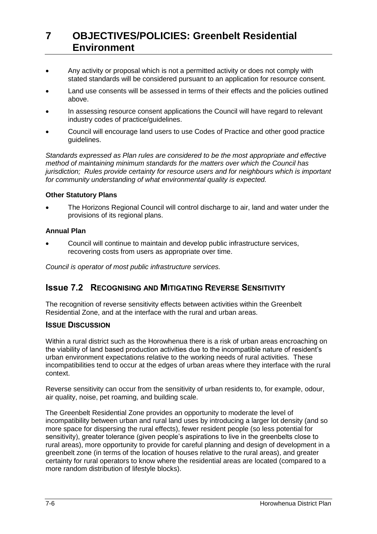- Any activity or proposal which is not a permitted activity or does not comply with stated standards will be considered pursuant to an application for resource consent.
- Land use consents will be assessed in terms of their effects and the policies outlined above.
- In assessing resource consent applications the Council will have regard to relevant industry codes of practice/guidelines.
- Council will encourage land users to use Codes of Practice and other good practice guidelines.

*Standards expressed as Plan rules are considered to be the most appropriate and effective method of maintaining minimum standards for the matters over which the Council has jurisdiction; Rules provide certainty for resource users and for neighbours which is important for community understanding of what environmental quality is expected.*

#### **Other Statutory Plans**

 The Horizons Regional Council will control discharge to air, land and water under the provisions of its regional plans.

#### **Annual Plan**

 Council will continue to maintain and develop public infrastructure services, recovering costs from users as appropriate over time.

*Council is operator of most public infrastructure services.*

### **Issue 7.2 RECOGNISING AND MITIGATING REVERSE SENSITIVITY**

The recognition of reverse sensitivity effects between activities within the Greenbelt Residential Zone, and at the interface with the rural and urban areas.

#### **ISSUE DISCUSSION**

Within a rural district such as the Horowhenua there is a risk of urban areas encroaching on the viability of land based production activities due to the incompatible nature of resident's urban environment expectations relative to the working needs of rural activities. These incompatibilities tend to occur at the edges of urban areas where they interface with the rural context.

Reverse sensitivity can occur from the sensitivity of urban residents to, for example, odour, air quality, noise, pet roaming, and building scale.

The Greenbelt Residential Zone provides an opportunity to moderate the level of incompatibility between urban and rural land uses by introducing a larger lot density (and so more space for dispersing the rural effects), fewer resident people (so less potential for sensitivity), greater tolerance (given people's aspirations to live in the greenbelts close to rural areas), more opportunity to provide for careful planning and design of development in a greenbelt zone (in terms of the location of houses relative to the rural areas), and greater certainty for rural operators to know where the residential areas are located (compared to a more random distribution of lifestyle blocks).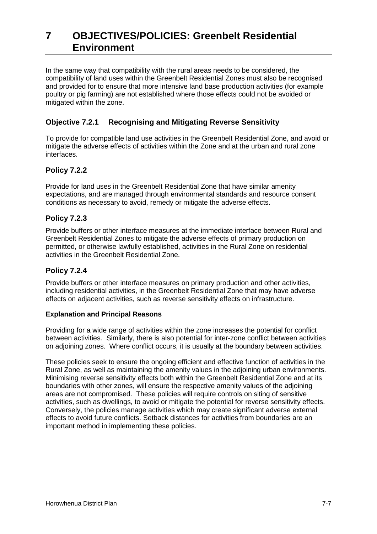In the same way that compatibility with the rural areas needs to be considered, the compatibility of land uses within the Greenbelt Residential Zones must also be recognised and provided for to ensure that more intensive land base production activities (for example poultry or pig farming) are not established where those effects could not be avoided or mitigated within the zone.

## **Objective 7.2.1 Recognising and Mitigating Reverse Sensitivity**

To provide for compatible land use activities in the Greenbelt Residential Zone, and avoid or mitigate the adverse effects of activities within the Zone and at the urban and rural zone interfaces.

### **Policy 7.2.2**

Provide for land uses in the Greenbelt Residential Zone that have similar amenity expectations, and are managed through environmental standards and resource consent conditions as necessary to avoid, remedy or mitigate the adverse effects.

### **Policy 7.2.3**

Provide buffers or other interface measures at the immediate interface between Rural and Greenbelt Residential Zones to mitigate the adverse effects of primary production on permitted, or otherwise lawfully established, activities in the Rural Zone on residential activities in the Greenbelt Residential Zone.

#### **Policy 7.2.4**

Provide buffers or other interface measures on primary production and other activities, including residential activities, in the Greenbelt Residential Zone that may have adverse effects on adjacent activities, such as reverse sensitivity effects on infrastructure.

#### **Explanation and Principal Reasons**

Providing for a wide range of activities within the zone increases the potential for conflict between activities. Similarly, there is also potential for inter-zone conflict between activities on adjoining zones. Where conflict occurs, it is usually at the boundary between activities.

These policies seek to ensure the ongoing efficient and effective function of activities in the Rural Zone, as well as maintaining the amenity values in the adjoining urban environments. Minimising reverse sensitivity effects both within the Greenbelt Residential Zone and at its boundaries with other zones, will ensure the respective amenity values of the adjoining areas are not compromised. These policies will require controls on siting of sensitive activities, such as dwellings, to avoid or mitigate the potential for reverse sensitivity effects. Conversely, the policies manage activities which may create significant adverse external effects to avoid future conflicts. Setback distances for activities from boundaries are an important method in implementing these policies.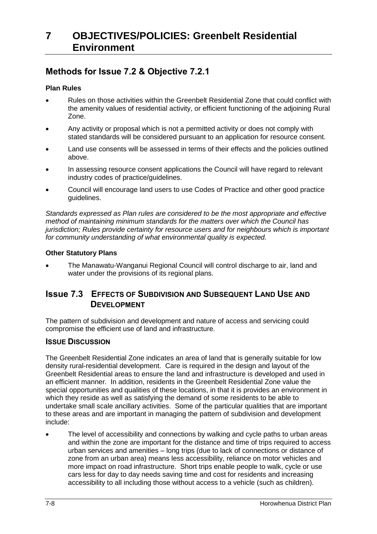## **Methods for Issue 7.2 & Objective 7.2.1**

#### **Plan Rules**

- Rules on those activities within the Greenbelt Residential Zone that could conflict with the amenity values of residential activity, or efficient functioning of the adjoining Rural Zone.
- Any activity or proposal which is not a permitted activity or does not comply with stated standards will be considered pursuant to an application for resource consent.
- Land use consents will be assessed in terms of their effects and the policies outlined above.
- In assessing resource consent applications the Council will have regard to relevant industry codes of practice/guidelines.
- Council will encourage land users to use Codes of Practice and other good practice guidelines.

*Standards expressed as Plan rules are considered to be the most appropriate and effective method of maintaining minimum standards for the matters over which the Council has jurisdiction; Rules provide certainty for resource users and for neighbours which is important for community understanding of what environmental quality is expected.*

#### **Other Statutory Plans**

 The Manawatu-Wanganui Regional Council will control discharge to air, land and water under the provisions of its regional plans.

## **Issue 7.3 EFFECTS OF SUBDIVISION AND SUBSEQUENT LAND USE AND DEVELOPMENT**

The pattern of subdivision and development and nature of access and servicing could compromise the efficient use of land and infrastructure.

### **ISSUE DISCUSSION**

The Greenbelt Residential Zone indicates an area of land that is generally suitable for low density rural-residential development. Care is required in the design and layout of the Greenbelt Residential areas to ensure the land and infrastructure is developed and used in an efficient manner. In addition, residents in the Greenbelt Residential Zone value the special opportunities and qualities of these locations, in that it is provides an environment in which they reside as well as satisfying the demand of some residents to be able to undertake small scale ancillary activities. Some of the particular qualities that are important to these areas and are important in managing the pattern of subdivision and development include:

 The level of accessibility and connections by walking and cycle paths to urban areas and within the zone are important for the distance and time of trips required to access urban services and amenities – long trips (due to lack of connections or distance of zone from an urban area) means less accessibility, reliance on motor vehicles and more impact on road infrastructure. Short trips enable people to walk, cycle or use cars less for day to day needs saving time and cost for residents and increasing accessibility to all including those without access to a vehicle (such as children).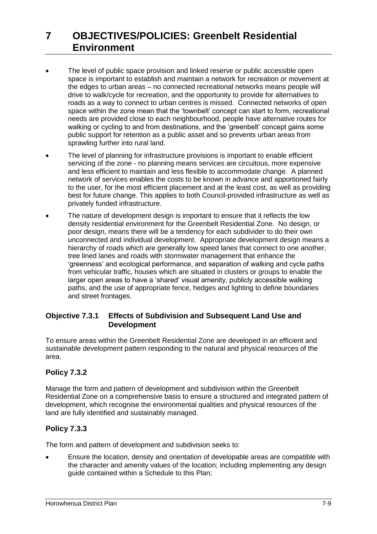- The level of public space provision and linked reserve or public accessible open space is important to establish and maintain a network for recreation or movement at the edges to urban areas – no connected recreational networks means people will drive to walk/cycle for recreation, and the opportunity to provide for alternatives to roads as a way to connect to urban centres is missed. Connected networks of open space within the zone mean that the 'townbelt' concept can start to form, recreational needs are provided close to each neighbourhood, people have alternative routes for walking or cycling to and from destinations, and the 'greenbelt' concept gains some public support for retention as a public asset and so prevents urban areas from sprawling further into rural land.
- The level of planning for infrastructure provisions is important to enable efficient servicing of the zone - no planning means services are circuitous, more expensive and less efficient to maintain and less flexible to accommodate change. A planned network of services enables the costs to be known in advance and apportioned fairly to the user, for the most efficient placement and at the least cost, as well as providing best for future change. This applies to both Council-provided infrastructure as well as privately funded infrastructure.
- The nature of development design is important to ensure that it reflects the low density residential environment for the Greenbelt Residential Zone. No design, or poor design, means there will be a tendency for each subdivider to do their own unconnected and individual development. Appropriate development design means a hierarchy of roads which are generally low speed lanes that connect to one another, tree lined lanes and roads with stormwater management that enhance the 'greenness' and ecological performance, and separation of walking and cycle paths from vehicular traffic, houses which are situated in clusters or groups to enable the larger open areas to have a 'shared' visual amenity, publicly accessible walking paths, and the use of appropriate fence, hedges and lighting to define boundaries and street frontages.

### **Objective 7.3.1 Effects of Subdivision and Subsequent Land Use and Development**

To ensure areas within the Greenbelt Residential Zone are developed in an efficient and sustainable development pattern responding to the natural and physical resources of the area.

### **Policy 7.3.2**

Manage the form and pattern of development and subdivision within the Greenbelt Residential Zone on a comprehensive basis to ensure a structured and integrated pattern of development, which recognise the environmental qualities and physical resources of the land are fully identified and sustainably managed.

### **Policy 7.3.3**

The form and pattern of development and subdivision seeks to:

 Ensure the location, density and orientation of developable areas are compatible with the character and amenity values of the location; including implementing any design guide contained within a Schedule to this Plan;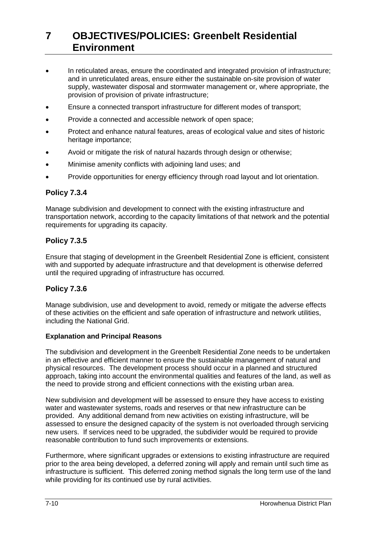- In reticulated areas, ensure the coordinated and integrated provision of infrastructure; and in unreticulated areas, ensure either the sustainable on-site provision of water supply, wastewater disposal and stormwater management or, where appropriate, the provision of provision of private infrastructure;
- Ensure a connected transport infrastructure for different modes of transport;
- Provide a connected and accessible network of open space;
- Protect and enhance natural features, areas of ecological value and sites of historic heritage importance;
- Avoid or mitigate the risk of natural hazards through design or otherwise;
- Minimise amenity conflicts with adjoining land uses; and
- Provide opportunities for energy efficiency through road layout and lot orientation.

#### **Policy 7.3.4**

Manage subdivision and development to connect with the existing infrastructure and transportation network, according to the capacity limitations of that network and the potential requirements for upgrading its capacity.

### **Policy 7.3.5**

Ensure that staging of development in the Greenbelt Residential Zone is efficient, consistent with and supported by adequate infrastructure and that development is otherwise deferred until the required upgrading of infrastructure has occurred.

#### **Policy 7.3.6**

Manage subdivision, use and development to avoid, remedy or mitigate the adverse effects of these activities on the efficient and safe operation of infrastructure and network utilities, including the National Grid.

#### **Explanation and Principal Reasons**

The subdivision and development in the Greenbelt Residential Zone needs to be undertaken in an effective and efficient manner to ensure the sustainable management of natural and physical resources. The development process should occur in a planned and structured approach, taking into account the environmental qualities and features of the land, as well as the need to provide strong and efficient connections with the existing urban area.

New subdivision and development will be assessed to ensure they have access to existing water and wastewater systems, roads and reserves or that new infrastructure can be provided. Any additional demand from new activities on existing infrastructure, will be assessed to ensure the designed capacity of the system is not overloaded through servicing new users. If services need to be upgraded, the subdivider would be required to provide reasonable contribution to fund such improvements or extensions.

Furthermore, where significant upgrades or extensions to existing infrastructure are required prior to the area being developed, a deferred zoning will apply and remain until such time as infrastructure is sufficient. This deferred zoning method signals the long term use of the land while providing for its continued use by rural activities.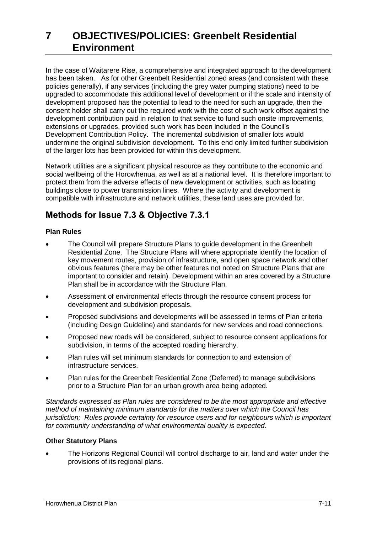In the case of Waitarere Rise, a comprehensive and integrated approach to the development has been taken. As for other Greenbelt Residential zoned areas (and consistent with these policies generally), if any services (including the grey water pumping stations) need to be upgraded to accommodate this additional level of development or if the scale and intensity of development proposed has the potential to lead to the need for such an upgrade, then the consent holder shall carry out the required work with the cost of such work offset against the development contribution paid in relation to that service to fund such onsite improvements, extensions or upgrades, provided such work has been included in the Council's Development Contribution Policy. The incremental subdivision of smaller lots would undermine the original subdivision development. To this end only limited further subdivision of the larger lots has been provided for within this development.

Network utilities are a significant physical resource as they contribute to the economic and social wellbeing of the Horowhenua, as well as at a national level. It is therefore important to protect them from the adverse effects of new development or activities, such as locating buildings close to power transmission lines. Where the activity and development is compatible with infrastructure and network utilities, these land uses are provided for.

## **Methods for Issue 7.3 & Objective 7.3.1**

### **Plan Rules**

- The Council will prepare Structure Plans to guide development in the Greenbelt Residential Zone. The Structure Plans will where appropriate identify the location of key movement routes, provision of infrastructure, and open space network and other obvious features (there may be other features not noted on Structure Plans that are important to consider and retain). Development within an area covered by a Structure Plan shall be in accordance with the Structure Plan.
- Assessment of environmental effects through the resource consent process for development and subdivision proposals.
- Proposed subdivisions and developments will be assessed in terms of Plan criteria (including Design Guideline) and standards for new services and road connections.
- Proposed new roads will be considered, subject to resource consent applications for subdivision, in terms of the accepted roading hierarchy.
- Plan rules will set minimum standards for connection to and extension of infrastructure services.
- Plan rules for the Greenbelt Residential Zone (Deferred) to manage subdivisions prior to a Structure Plan for an urban growth area being adopted.

*Standards expressed as Plan rules are considered to be the most appropriate and effective method of maintaining minimum standards for the matters over which the Council has jurisdiction; Rules provide certainty for resource users and for neighbours which is important for community understanding of what environmental quality is expected.*

#### **Other Statutory Plans**

 The Horizons Regional Council will control discharge to air, land and water under the provisions of its regional plans.